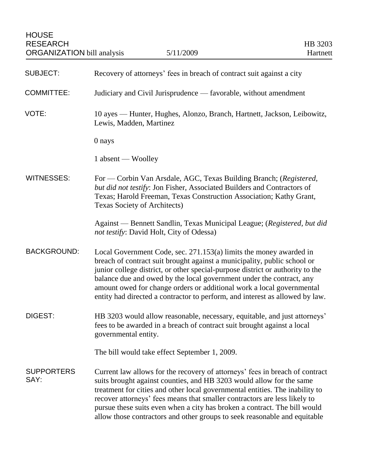| <b>SUBJECT:</b>           | Recovery of attorneys' fees in breach of contract suit against a city                                                                                                                                                                                                                                                                                                                                                                                                       |
|---------------------------|-----------------------------------------------------------------------------------------------------------------------------------------------------------------------------------------------------------------------------------------------------------------------------------------------------------------------------------------------------------------------------------------------------------------------------------------------------------------------------|
| <b>COMMITTEE:</b>         | Judiciary and Civil Jurisprudence — favorable, without amendment                                                                                                                                                                                                                                                                                                                                                                                                            |
| VOTE:                     | 10 ayes — Hunter, Hughes, Alonzo, Branch, Hartnett, Jackson, Leibowitz,<br>Lewis, Madden, Martinez                                                                                                                                                                                                                                                                                                                                                                          |
|                           | 0 nays                                                                                                                                                                                                                                                                                                                                                                                                                                                                      |
|                           | 1 absent — Woolley                                                                                                                                                                                                                                                                                                                                                                                                                                                          |
| <b>WITNESSES:</b>         | For — Corbin Van Arsdale, AGC, Texas Building Branch; (Registered,<br>but did not testify: Jon Fisher, Associated Builders and Contractors of<br>Texas; Harold Freeman, Texas Construction Association; Kathy Grant,<br>Texas Society of Architects)                                                                                                                                                                                                                        |
|                           | Against — Bennett Sandlin, Texas Municipal League; (Registered, but did<br>not testify: David Holt, City of Odessa)                                                                                                                                                                                                                                                                                                                                                         |
| <b>BACKGROUND:</b>        | Local Government Code, sec. 271.153(a) limits the money awarded in<br>breach of contract suit brought against a municipality, public school or<br>junior college district, or other special-purpose district or authority to the<br>balance due and owed by the local government under the contract, any<br>amount owed for change orders or additional work a local governmental<br>entity had directed a contractor to perform, and interest as allowed by law.           |
| <b>DIGEST:</b>            | HB 3203 would allow reasonable, necessary, equitable, and just attorneys'<br>fees to be awarded in a breach of contract suit brought against a local<br>governmental entity.                                                                                                                                                                                                                                                                                                |
|                           | The bill would take effect September 1, 2009.                                                                                                                                                                                                                                                                                                                                                                                                                               |
| <b>SUPPORTERS</b><br>SAY: | Current law allows for the recovery of attorneys' fees in breach of contract<br>suits brought against counties, and HB 3203 would allow for the same<br>treatment for cities and other local governmental entities. The inability to<br>recover attorneys' fees means that smaller contractors are less likely to<br>pursue these suits even when a city has broken a contract. The bill would<br>allow those contractors and other groups to seek reasonable and equitable |